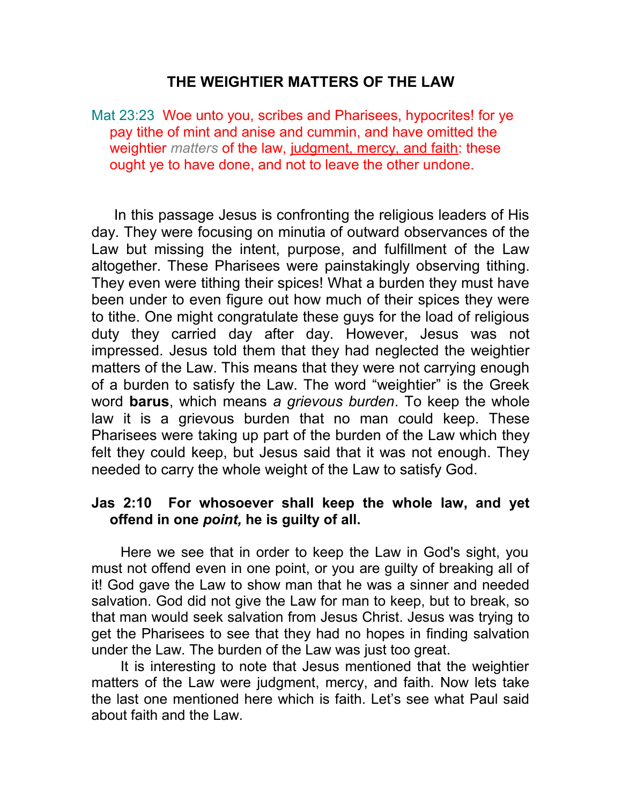## **THE WEIGHTIER MATTERS OF THE LAW**

Mat 23:23 Woe unto you, scribes and Pharisees, hypocrites! for ye pay tithe of mint and anise and cummin, and have omitted the weightier *matters* of the law, judgment, mercy, and faith: these ought ye to have done, and not to leave the other undone.

 In this passage Jesus is confronting the religious leaders of His day. They were focusing on minutia of outward observances of the Law but missing the intent, purpose, and fulfillment of the Law altogether. These Pharisees were painstakingly observing tithing. They even were tithing their spices! What a burden they must have been under to even figure out how much of their spices they were to tithe. One might congratulate these guys for the load of religious duty they carried day after day. However, Jesus was not impressed. Jesus told them that they had neglected the weightier matters of the Law. This means that they were not carrying enough of a burden to satisfy the Law. The word "weightier" is the Greek word **barus**, which means *a grievous burden*. To keep the whole law it is a grievous burden that no man could keep. These Pharisees were taking up part of the burden of the Law which they felt they could keep, but Jesus said that it was not enough. They needed to carry the whole weight of the Law to satisfy God.

## **Jas 2:10 For whosoever shall keep the whole law, and yet offend in one** *point,* **he is guilty of all.**

 Here we see that in order to keep the Law in God's sight, you must not offend even in one point, or you are guilty of breaking all of it! God gave the Law to show man that he was a sinner and needed salvation. God did not give the Law for man to keep, but to break, so that man would seek salvation from Jesus Christ. Jesus was trying to get the Pharisees to see that they had no hopes in finding salvation under the Law. The burden of the Law was just too great.

 It is interesting to note that Jesus mentioned that the weightier matters of the Law were judgment, mercy, and faith. Now lets take the last one mentioned here which is faith. Let's see what Paul said about faith and the Law.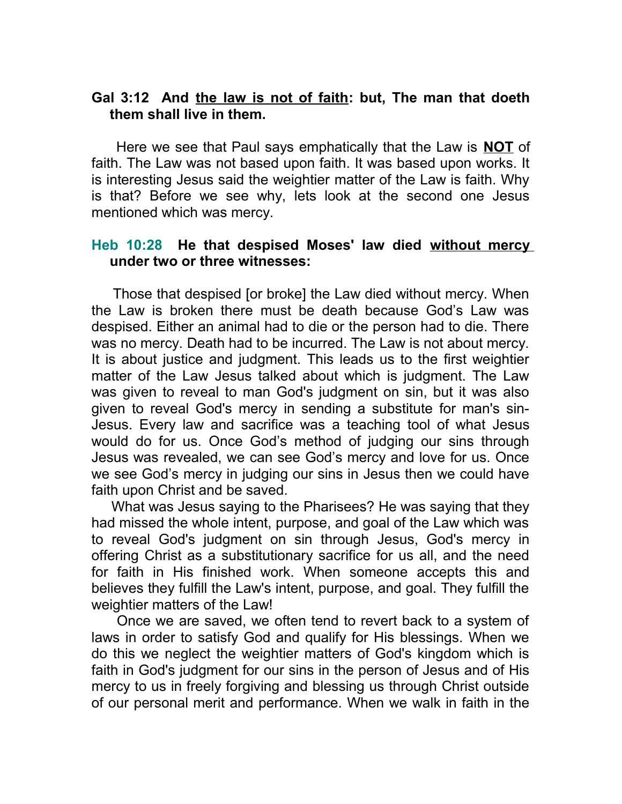## **Gal 3:12 And the law is not of faith: but, The man that doeth them shall live in them.**

 Here we see that Paul says emphatically that the Law is **NOT** of faith. The Law was not based upon faith. It was based upon works. It is interesting Jesus said the weightier matter of the Law is faith. Why is that? Before we see why, lets look at the second one Jesus mentioned which was mercy.

## **Heb 10:28 He that despised Moses' law died without mercy under two or three witnesses:**

 Those that despised [or broke] the Law died without mercy. When the Law is broken there must be death because God's Law was despised. Either an animal had to die or the person had to die. There was no mercy. Death had to be incurred. The Law is not about mercy. It is about justice and judgment. This leads us to the first weightier matter of the Law Jesus talked about which is judgment. The Law was given to reveal to man God's judgment on sin, but it was also given to reveal God's mercy in sending a substitute for man's sin-Jesus. Every law and sacrifice was a teaching tool of what Jesus would do for us. Once God's method of judging our sins through Jesus was revealed, we can see God's mercy and love for us. Once we see God's mercy in judging our sins in Jesus then we could have faith upon Christ and be saved.

 What was Jesus saying to the Pharisees? He was saying that they had missed the whole intent, purpose, and goal of the Law which was to reveal God's judgment on sin through Jesus, God's mercy in offering Christ as a substitutionary sacrifice for us all, and the need for faith in His finished work. When someone accepts this and believes they fulfill the Law's intent, purpose, and goal. They fulfill the weightier matters of the Law!

 Once we are saved, we often tend to revert back to a system of laws in order to satisfy God and qualify for His blessings. When we do this we neglect the weightier matters of God's kingdom which is faith in God's judgment for our sins in the person of Jesus and of His mercy to us in freely forgiving and blessing us through Christ outside of our personal merit and performance. When we walk in faith in the